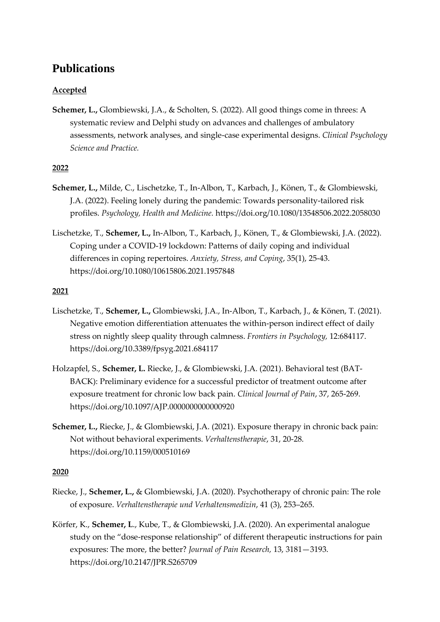# **Publications**

## **Accepted**

**Schemer, L.,** Glombiewski, J.A., & Scholten, S. (2022). All good things come in threes: A systematic review and Delphi study on advances and challenges of ambulatory assessments, network analyses, and single-case experimental designs. *Clinical Psychology Science and Practice.*

## **2022**

- **Schemer, L.,** Milde, C., Lischetzke, T., In-Albon, T., Karbach, J., Könen, T., & Glombiewski, J.A. (2022). Feeling lonely during the pandemic: Towards personality-tailored risk profiles. *Psychology, Health and Medicine.* https://doi.org/10.1080/13548506.2022.2058030
- Lischetzke, T., **Schemer, L.,** In-Albon, T., Karbach, J., Könen, T., & Glombiewski, J.A. (2022). Coping under a COVID-19 lockdown: Patterns of daily coping and individual differences in coping repertoires. *Anxiety, Stress, and Coping*, 35(1), 25-43. https://doi.org/10.1080/10615806.2021.1957848

## **2021**

- Lischetzke, T., **Schemer, L.,** Glombiewski, J.A., In-Albon, T., Karbach, J., & Könen, T. (2021). Negative emotion differentiation attenuates the within-person indirect effect of daily stress on nightly sleep quality through calmness. *Frontiers in Psychology,* 12:684117. https://doi.org/10.3389/fpsyg.2021.684117
- Holzapfel, S., **Schemer, L.** Riecke, J., & Glombiewski, J.A. (2021). Behavioral test (BAT-BACK): Preliminary evidence for a successful predictor of treatment outcome after exposure treatment for chronic low back pain. *Clinical Journal of Pain*, 37, 265-269. https://doi.org/10.1097/AJP.0000000000000920
- **Schemer, L.,** Riecke, J., & Glombiewski, J.A. (2021). Exposure therapy in chronic back pain: Not without behavioral experiments. *Verhaltenstherapie*, 31, 20-28. https://doi.org/10.1159/000510169

### **2020**

- Riecke, J., **Schemer, L.,** & Glombiewski, J.A. (2020). Psychotherapy of chronic pain: The role of exposure. *Verhaltenstherapie und Verhaltensmedizin*, 41 (3), 253–265.
- Körfer, K., **Schemer, L**., Kube, T., & Glombiewski, J.A. (2020). An experimental analogue study on the "dose-response relationship" of different therapeutic instructions for pain exposures: The more, the better? *Journal of Pain Research,* 13, 3181—3193. https://doi.org/10.2147/JPR.S265709